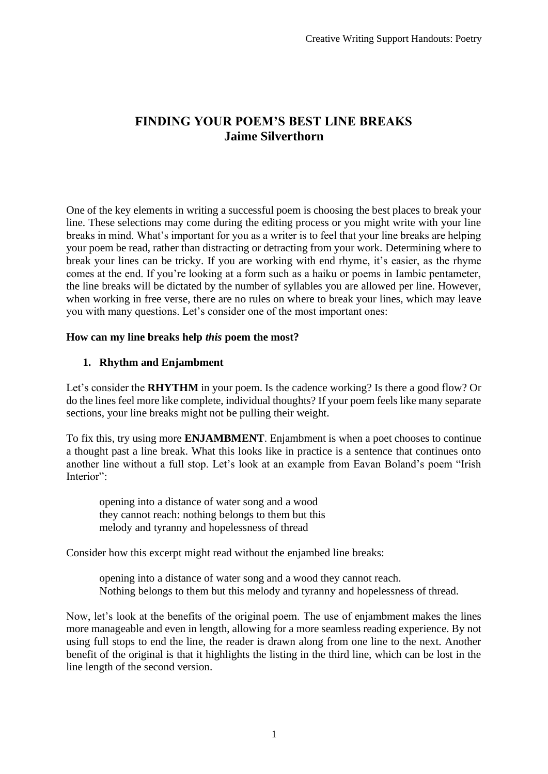# **FINDING YOUR POEM'S BEST LINE BREAKS Jaime Silverthorn**

One of the key elements in writing a successful poem is choosing the best places to break your line. These selections may come during the editing process or you might write with your line breaks in mind. What's important for you as a writer is to feel that your line breaks are helping your poem be read, rather than distracting or detracting from your work. Determining where to break your lines can be tricky. If you are working with end rhyme, it's easier, as the rhyme comes at the end. If you're looking at a form such as a haiku or poems in Iambic pentameter, the line breaks will be dictated by the number of syllables you are allowed per line. However, when working in free verse, there are no rules on where to break your lines, which may leave you with many questions. Let's consider one of the most important ones:

# **How can my line breaks help** *this* **poem the most?**

# **1. Rhythm and Enjambment**

Let's consider the **RHYTHM** in your poem. Is the cadence working? Is there a good flow? Or do the lines feel more like complete, individual thoughts? If your poem feels like many separate sections, your line breaks might not be pulling their weight.

To fix this, try using more **ENJAMBMENT**. Enjambment is when a poet chooses to continue a thought past a line break. What this looks like in practice is a sentence that continues onto another line without a full stop. Let's look at an example from Eavan Boland's poem "Irish Interior":

opening into a distance of water song and a wood they cannot reach: nothing belongs to them but this melody and tyranny and hopelessness of thread

Consider how this excerpt might read without the enjambed line breaks:

opening into a distance of water song and a wood they cannot reach. Nothing belongs to them but this melody and tyranny and hopelessness of thread.

Now, let's look at the benefits of the original poem. The use of enjambment makes the lines more manageable and even in length, allowing for a more seamless reading experience. By not using full stops to end the line, the reader is drawn along from one line to the next. Another benefit of the original is that it highlights the listing in the third line, which can be lost in the line length of the second version.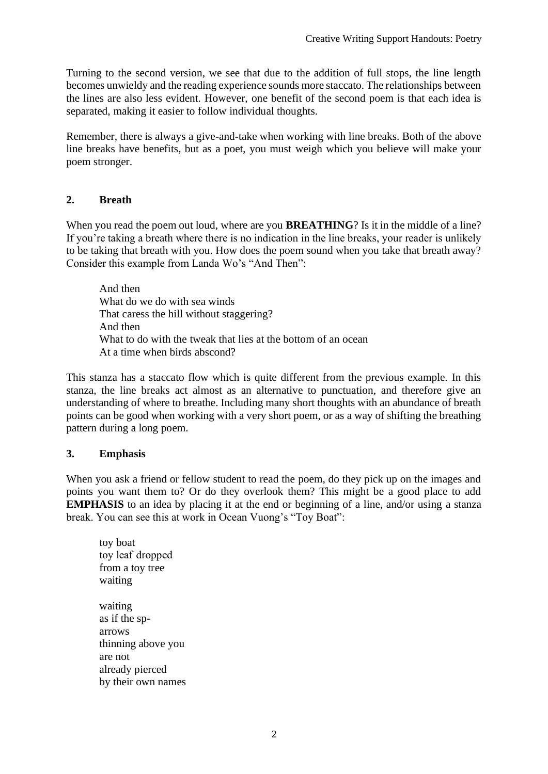Turning to the second version, we see that due to the addition of full stops, the line length becomes unwieldy and the reading experience sounds more staccato. The relationships between the lines are also less evident. However, one benefit of the second poem is that each idea is separated, making it easier to follow individual thoughts.

Remember, there is always a give-and-take when working with line breaks. Both of the above line breaks have benefits, but as a poet, you must weigh which you believe will make your poem stronger.

# **2. Breath**

When you read the poem out loud, where are you **BREATHING**? Is it in the middle of a line? If you're taking a breath where there is no indication in the line breaks, your reader is unlikely to be taking that breath with you. How does the poem sound when you take that breath away? Consider this example from Landa Wo's "And Then":

And then What do we do with sea winds That caress the hill without staggering? And then What to do with the tweak that lies at the bottom of an ocean At a time when birds abscond?

This stanza has a staccato flow which is quite different from the previous example. In this stanza, the line breaks act almost as an alternative to punctuation, and therefore give an understanding of where to breathe. Including many short thoughts with an abundance of breath points can be good when working with a very short poem, or as a way of shifting the breathing pattern during a long poem.

### **3. Emphasis**

When you ask a friend or fellow student to read the poem, do they pick up on the images and points you want them to? Or do they overlook them? This might be a good place to add **EMPHASIS** to an idea by placing it at the end or beginning of a line, and/or using a stanza break. You can see this at work in Ocean Vuong's "Toy Boat":

toy boat toy leaf  dropped from a toy tree waiting waiting as if the sparrows thinning above you are not already pierced by their own names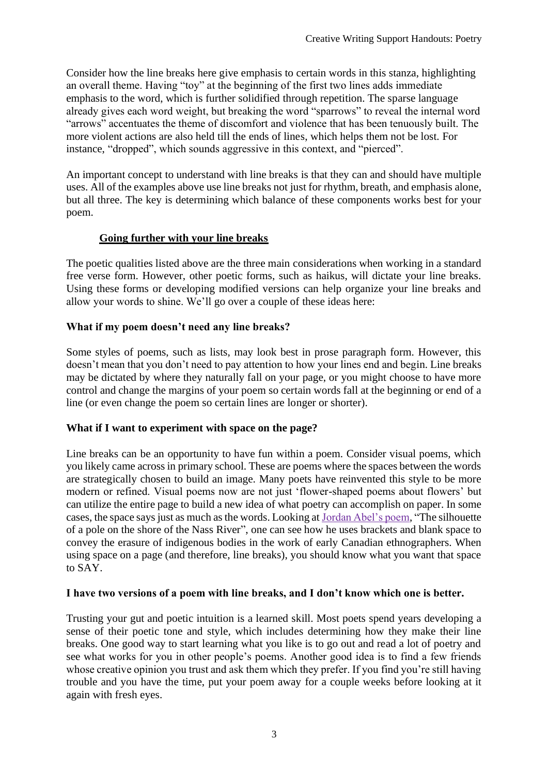Consider how the line breaks here give emphasis to certain words in this stanza, highlighting an overall theme. Having "toy" at the beginning of the first two lines adds immediate emphasis to the word, which is further solidified through repetition. The sparse language already gives each word weight, but breaking the word "sparrows" to reveal the internal word "arrows" accentuates the theme of discomfort and violence that has been tenuously built. The more violent actions are also held till the ends of lines, which helps them not be lost. For instance, "dropped", which sounds aggressive in this context, and "pierced".

An important concept to understand with line breaks is that they can and should have multiple uses. All of the examples above use line breaks not just for rhythm, breath, and emphasis alone, but all three. The key is determining which balance of these components works best for your poem.

# **Going further with your line breaks**

The poetic qualities listed above are the three main considerations when working in a standard free verse form. However, other poetic forms, such as haikus, will dictate your line breaks. Using these forms or developing modified versions can help organize your line breaks and allow your words to shine. We'll go over a couple of these ideas here:

# **What if my poem doesn't need any line breaks?**

Some styles of poems, such as lists, may look best in prose paragraph form. However, this doesn't mean that you don't need to pay attention to how your lines end and begin. Line breaks may be dictated by where they naturally fall on your page, or you might choose to have more control and change the margins of your poem so certain words fall at the beginning or end of a line (or even change the poem so certain lines are longer or shorter).

### **What if I want to experiment with space on the page?**

Line breaks can be an opportunity to have fun within a poem. Consider visual poems, which you likely came across in primary school. These are poems where the spaces between the words are strategically chosen to build an image. Many poets have reinvented this style to be more modern or refined. Visual poems now are not just 'flower-shaped poems about flowers' but can utilize the entire page to build a new idea of what poetry can accomplish on paper. In some cases, the space says just as much as the words. Looking at [Jordan Abel's poem,](https://canlit.ca/wp-content/uploads/2015/01/jordan_abel-silhouette.pdf) ["The silhouette](https://canlit.ca/wp-content/uploads/2015/01/jordan_abel-silhouette.pdf)  [of a pole on the shore of the Nass River"](https://canlit.ca/wp-content/uploads/2015/01/jordan_abel-silhouette.pdf), one can see how he uses brackets and blank space to convey the erasure of indigenous bodies in the work of early Canadian ethnographers. When using space on a page (and therefore, line breaks), you should know what you want that space to SAY.

### **I have two versions of a poem with line breaks, and I don't know which one is better.**

Trusting your gut and poetic intuition is a learned skill. Most poets spend years developing a sense of their poetic tone and style, which includes determining how they make their line breaks. One good way to start learning what you like is to go out and read a lot of poetry and see what works for you in other people's poems. Another good idea is to find a few friends whose creative opinion you trust and ask them which they prefer. If you find you're still having trouble and you have the time, put your poem away for a couple weeks before looking at it again with fresh eyes.